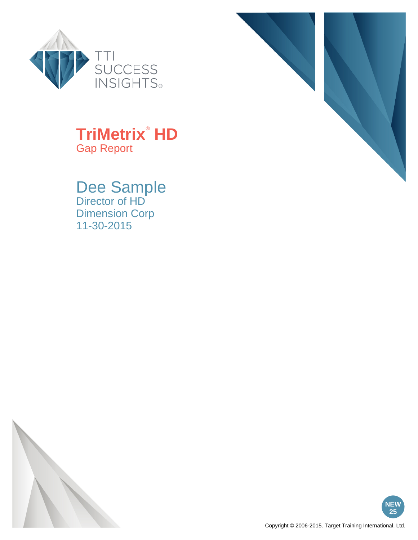



#### **TriMetrix**®  **HD** Gap Report

Dee Sample Director of HD Dimension Corp 11-30-2015



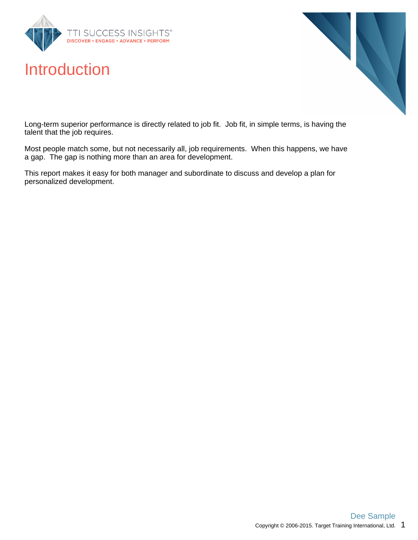

### Introduction



Long-term superior performance is directly related to job fit. Job fit, in simple terms, is having the talent that the job requires.

Most people match some, but not necessarily all, job requirements. When this happens, we have a gap. The gap is nothing more than an area for development.

This report makes it easy for both manager and subordinate to discuss and develop a plan for personalized development.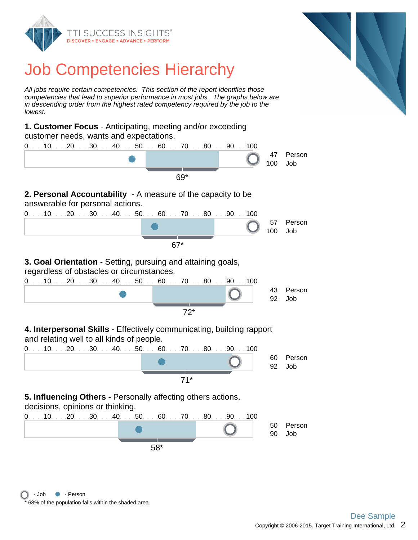



# Job Competencies Hierarchy

All jobs require certain competencies. This section of the report identifies those competencies that lead to superior performance in most jobs. The graphs below are in descending order from the highest rated competency required by the job to the lowest.

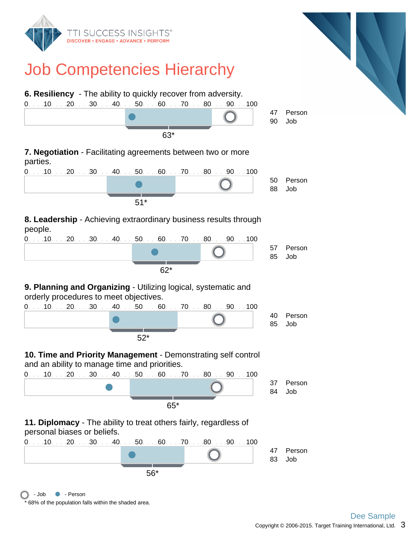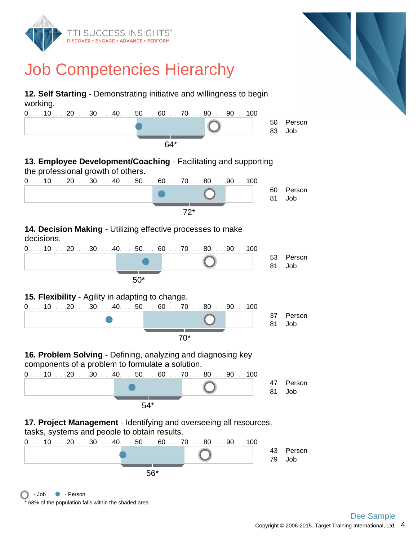

<sup>68%</sup> of the population falls within the shaded area.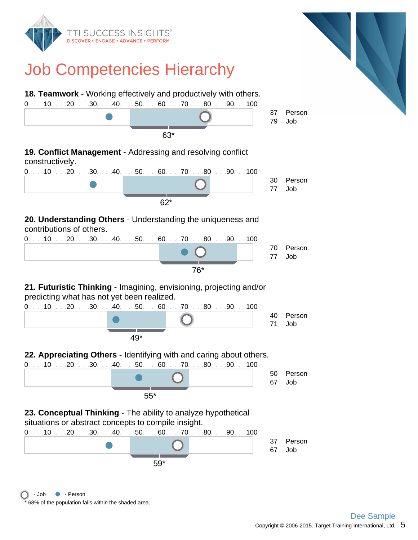

<sup>68%</sup> of the population falls within the shaded area. - Job • Person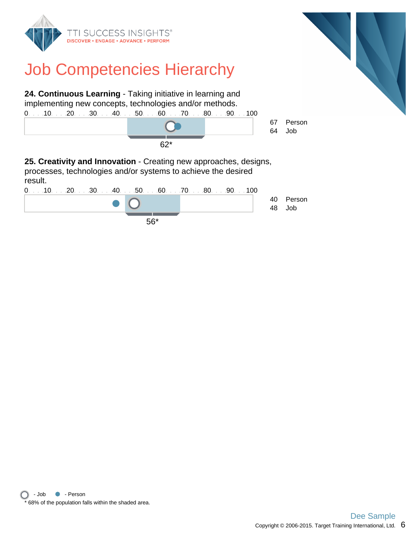

# Job Competencies Hierarchy



**25. Creativity and Innovation** - Creating new approaches, designs, processes, technologies and/or systems to achieve the desired result.

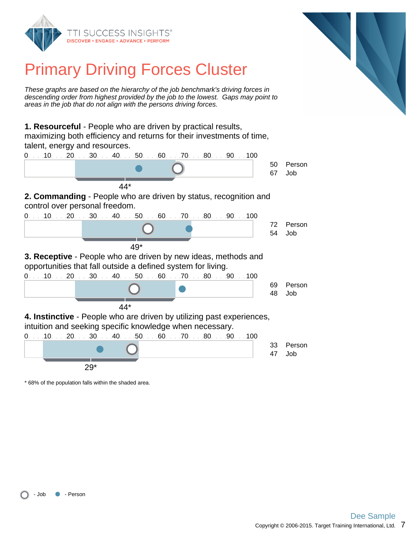



# Primary Driving Forces Cluster

These graphs are based on the hierarchy of the job benchmark's driving forces in descending order from highest provided by the job to the lowest. Gaps may point to areas in the job that do not align with the persons driving forces.

**1. Resourceful** - People who are driven by practical results, maximizing both efficiency and returns for their investments of time, talent, energy and resources.

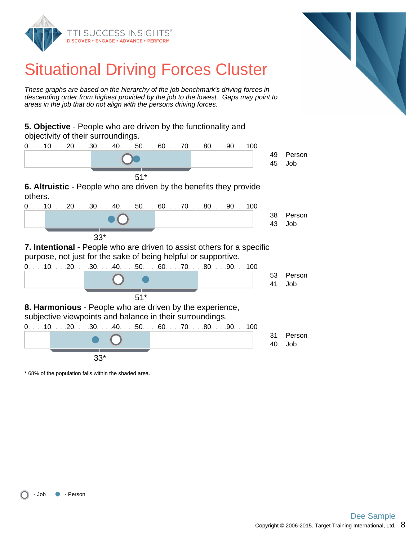



# Situational Driving Forces Cluster

These graphs are based on the hierarchy of the job benchmark's driving forces in descending order from highest provided by the job to the lowest. Gaps may point to areas in the job that do not align with the persons driving forces.

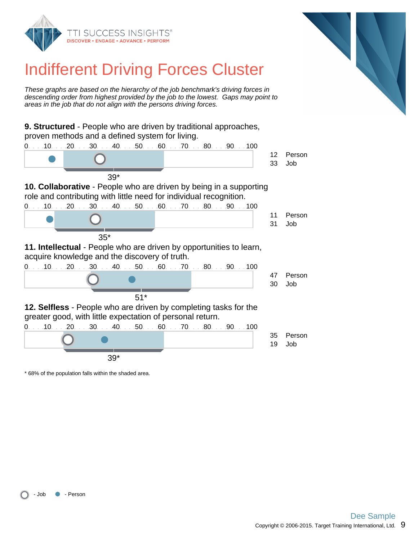



# Indifferent Driving Forces Cluster

These graphs are based on the hierarchy of the job benchmark's driving forces in descending order from highest provided by the job to the lowest. Gaps may point to areas in the job that do not align with the persons driving forces.

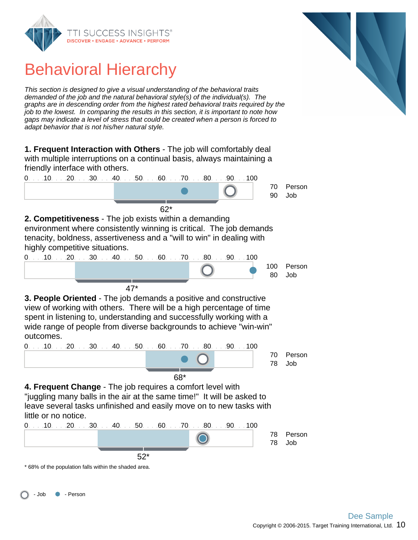

Behavioral Hierarchy

This section is designed to give a visual understanding of the behavioral traits demanded of the job and the natural behavioral style(s) of the individual(s). The graphs are in descending order from the highest rated behavioral traits required by the job to the lowest. In comparing the results in this section, it is important to note how gaps may indicate a level of stress that could be created when a person is forced to adapt behavior that is not his/her natural style.

**1. Frequent Interaction with Others** - The job will comfortably deal with multiple interruptions on a continual basis, always maintaining a friendly interface with others.



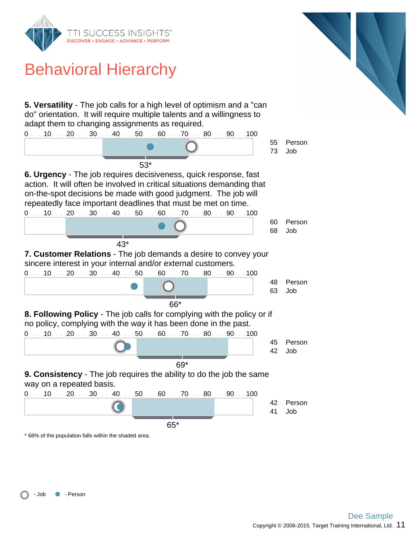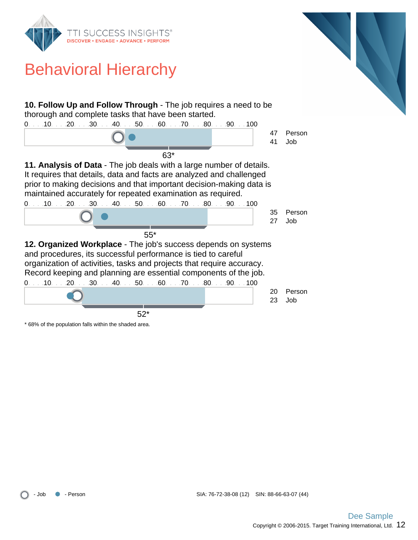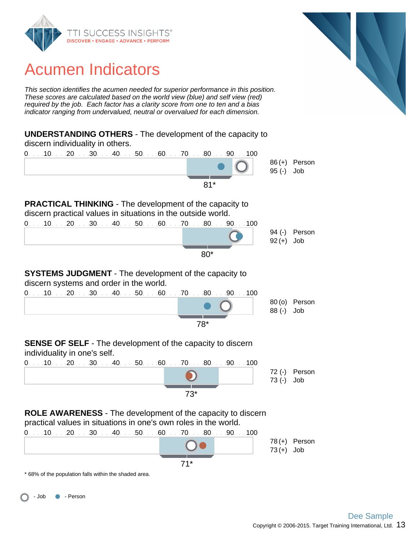

# Acumen Indicators

This section identifies the acumen needed for superior performance in this position. These scores are calculated based on the world view (blue) and self view (red) required by the job. Each factor has a clarity score from one to ten and a bias indicator ranging from undervalued, neutral or overvalued for each dimension.



71\*

\* 68% of the population falls within the shaded area.

- Job • Person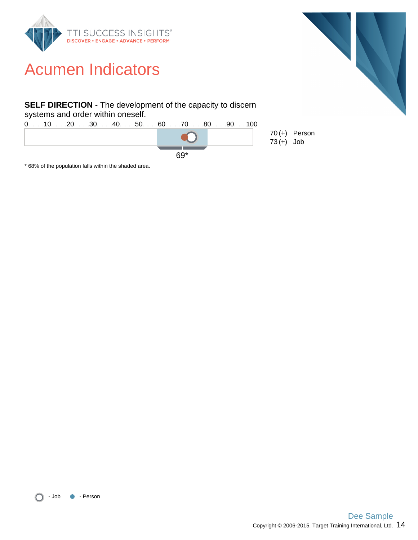

## Acumen Indicators

#### **SELF DIRECTION** - The development of the capacity to discern systems and order within oneself.



\* 68% of the population falls within the shaded area.



70(+) Person

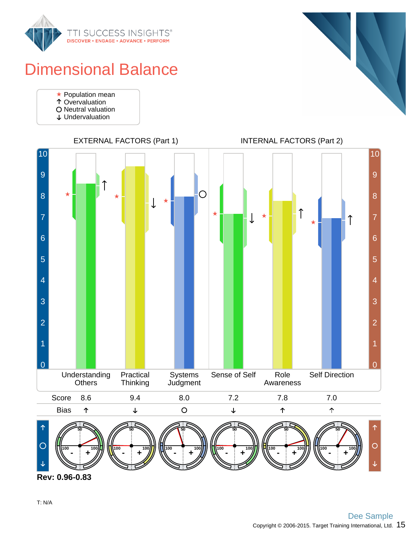

# Dimensional Balance

- Population mean
- Overvaluation
- O Neutral valuation
- Undervaluation





**Rev: 0.96-0.83**